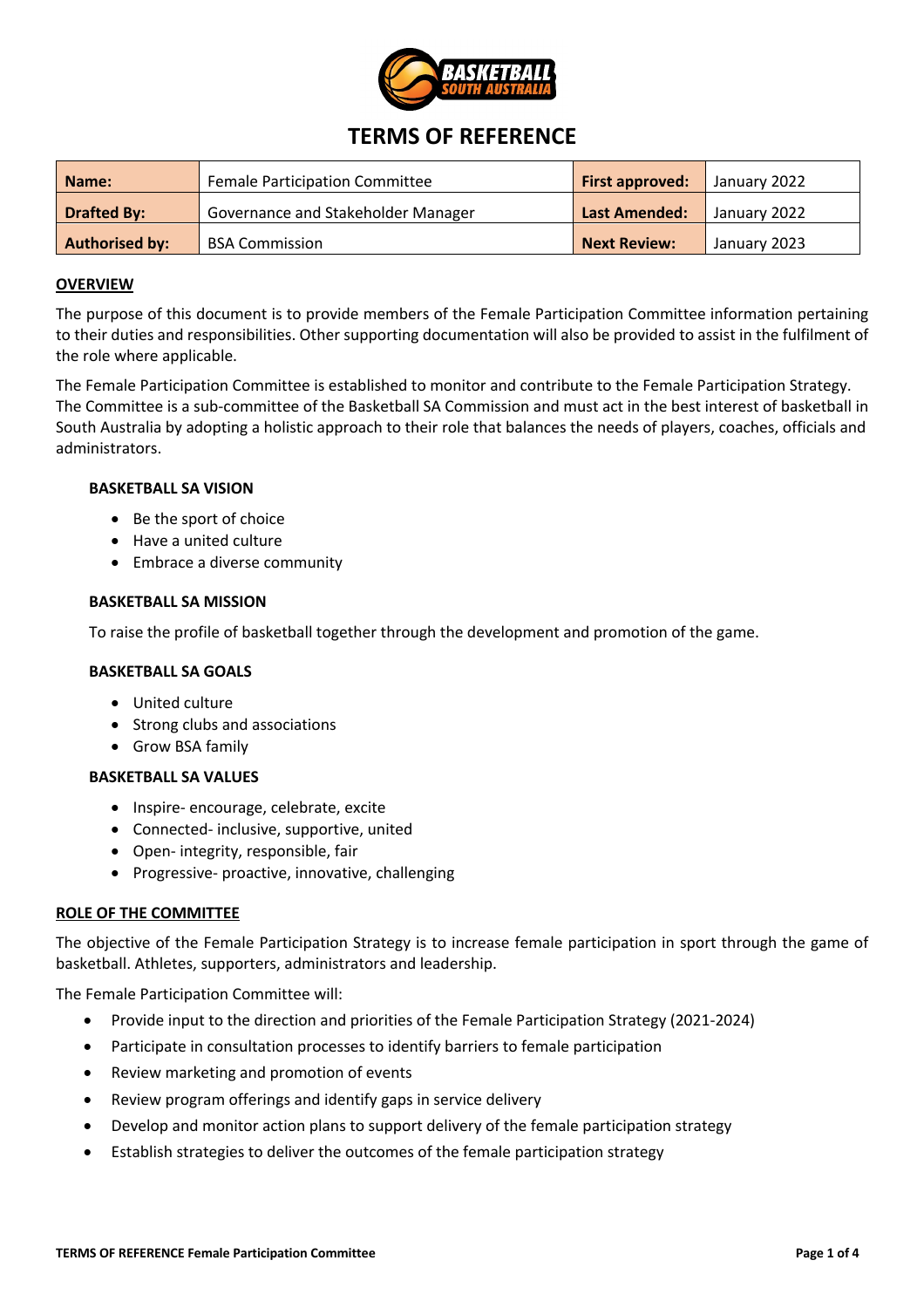

# **TERMS OF REFERENCE**

| Name:                 | <b>Female Participation Committee</b> | <b>First approved:</b> | January 2022 |
|-----------------------|---------------------------------------|------------------------|--------------|
| Drafted By:           | Governance and Stakeholder Manager    | <b>Last Amended:</b>   | January 2022 |
| <b>Authorised by:</b> | <b>BSA Commission</b>                 | <b>Next Review:</b>    | January 2023 |

# **OVERVIEW**

The purpose of this document is to provide members of the Female Participation Committee information pertaining to their duties and responsibilities. Other supporting documentation will also be provided to assist in the fulfilment of the role where applicable.

The Female Participation Committee is established to monitor and contribute to the Female Participation Strategy. The Committee is a sub-committee of the Basketball SA Commission and must act in the best interest of basketball in South Australia by adopting a holistic approach to their role that balances the needs of players, coaches, officials and administrators.

# **BASKETBALL SA VISION**

- Be the sport of choice
- Have a united culture
- Embrace a diverse community

## **BASKETBALL SA MISSION**

To raise the profile of basketball together through the development and promotion of the game.

# **BASKETBALL SA GOALS**

- United culture
- Strong clubs and associations
- Grow BSA family

# **BASKETBALL SA VALUES**

- Inspire- encourage, celebrate, excite
- Connected- inclusive, supportive, united
- Open- integrity, responsible, fair
- Progressive- proactive, innovative, challenging

# **ROLE OF THE COMMITTEE**

The objective of the Female Participation Strategy is to increase female participation in sport through the game of basketball. Athletes, supporters, administrators and leadership.

The Female Participation Committee will:

- Provide input to the direction and priorities of the Female Participation Strategy (2021-2024)
- Participate in consultation processes to identify barriers to female participation
- Review marketing and promotion of events
- Review program offerings and identify gaps in service delivery
- Develop and monitor action plans to support delivery of the female participation strategy
- Establish strategies to deliver the outcomes of the female participation strategy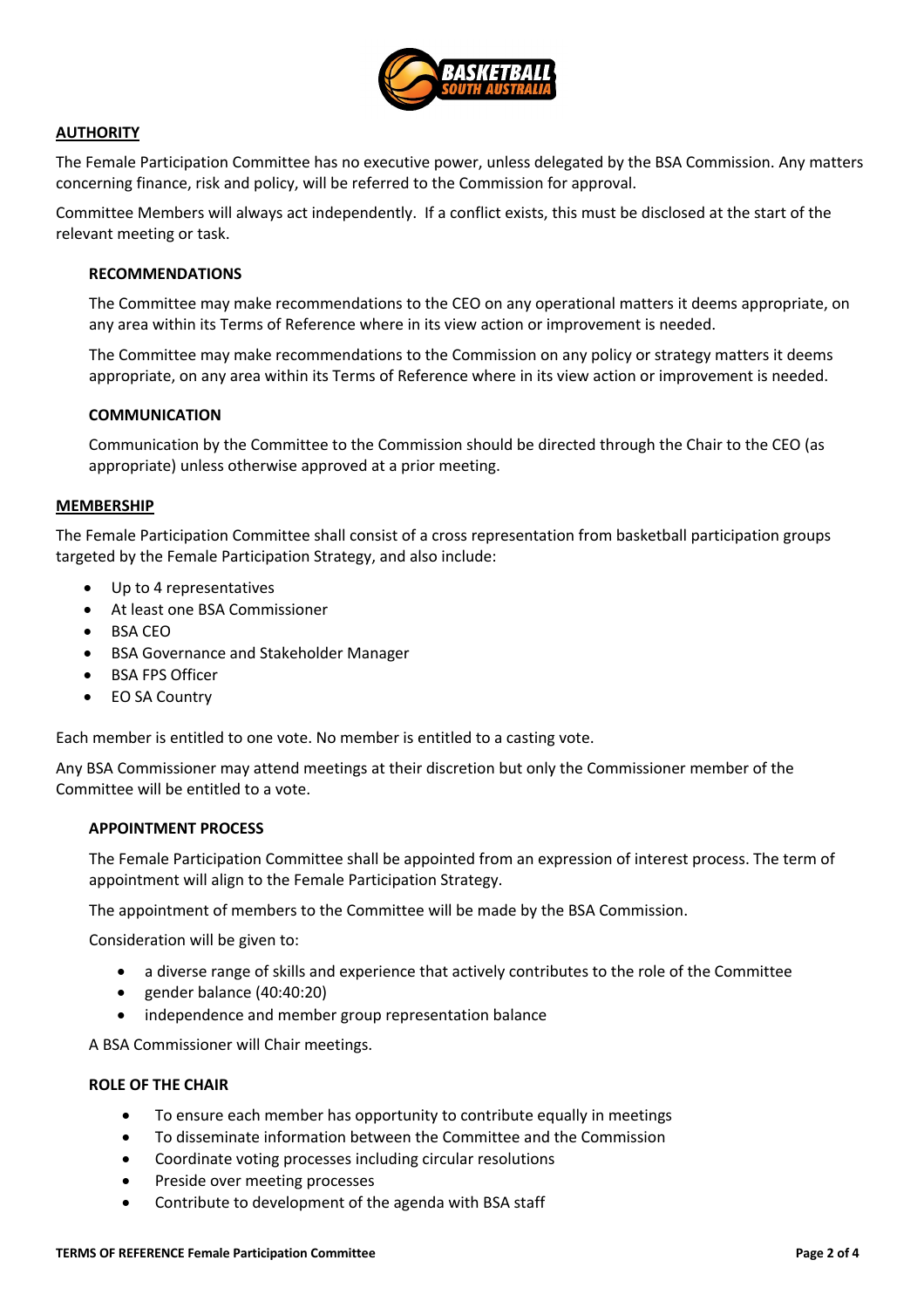

# **AUTHORITY**

The Female Participation Committee has no executive power, unless delegated by the BSA Commission. Any matters concerning finance, risk and policy, will be referred to the Commission for approval.

Committee Members will always act independently. If a conflict exists, this must be disclosed at the start of the relevant meeting or task.

## **RECOMMENDATIONS**

The Committee may make recommendations to the CEO on any operational matters it deems appropriate, on any area within its Terms of Reference where in its view action or improvement is needed.

The Committee may make recommendations to the Commission on any policy or strategy matters it deems appropriate, on any area within its Terms of Reference where in its view action or improvement is needed.

### **COMMUNICATION**

Communication by the Committee to the Commission should be directed through the Chair to the CEO (as appropriate) unless otherwise approved at a prior meeting.

### **MEMBERSHIP**

The Female Participation Committee shall consist of a cross representation from basketball participation groups targeted by the Female Participation Strategy, and also include:

- Up to 4 representatives
- At least one BSA Commissioner
- BSA CEO
- BSA Governance and Stakeholder Manager
- BSA FPS Officer
- EO SA Country

Each member is entitled to one vote. No member is entitled to a casting vote.

Any BSA Commissioner may attend meetings at their discretion but only the Commissioner member of the Committee will be entitled to a vote.

# **APPOINTMENT PROCESS**

The Female Participation Committee shall be appointed from an expression of interest process. The term of appointment will align to the Female Participation Strategy.

The appointment of members to the Committee will be made by the BSA Commission.

Consideration will be given to:

- a diverse range of skills and experience that actively contributes to the role of the Committee
- gender balance (40:40:20)
- independence and member group representation balance

A BSA Commissioner will Chair meetings.

### **ROLE OF THE CHAIR**

- To ensure each member has opportunity to contribute equally in meetings
- To disseminate information between the Committee and the Commission
- Coordinate voting processes including circular resolutions
- Preside over meeting processes
- Contribute to development of the agenda with BSA staff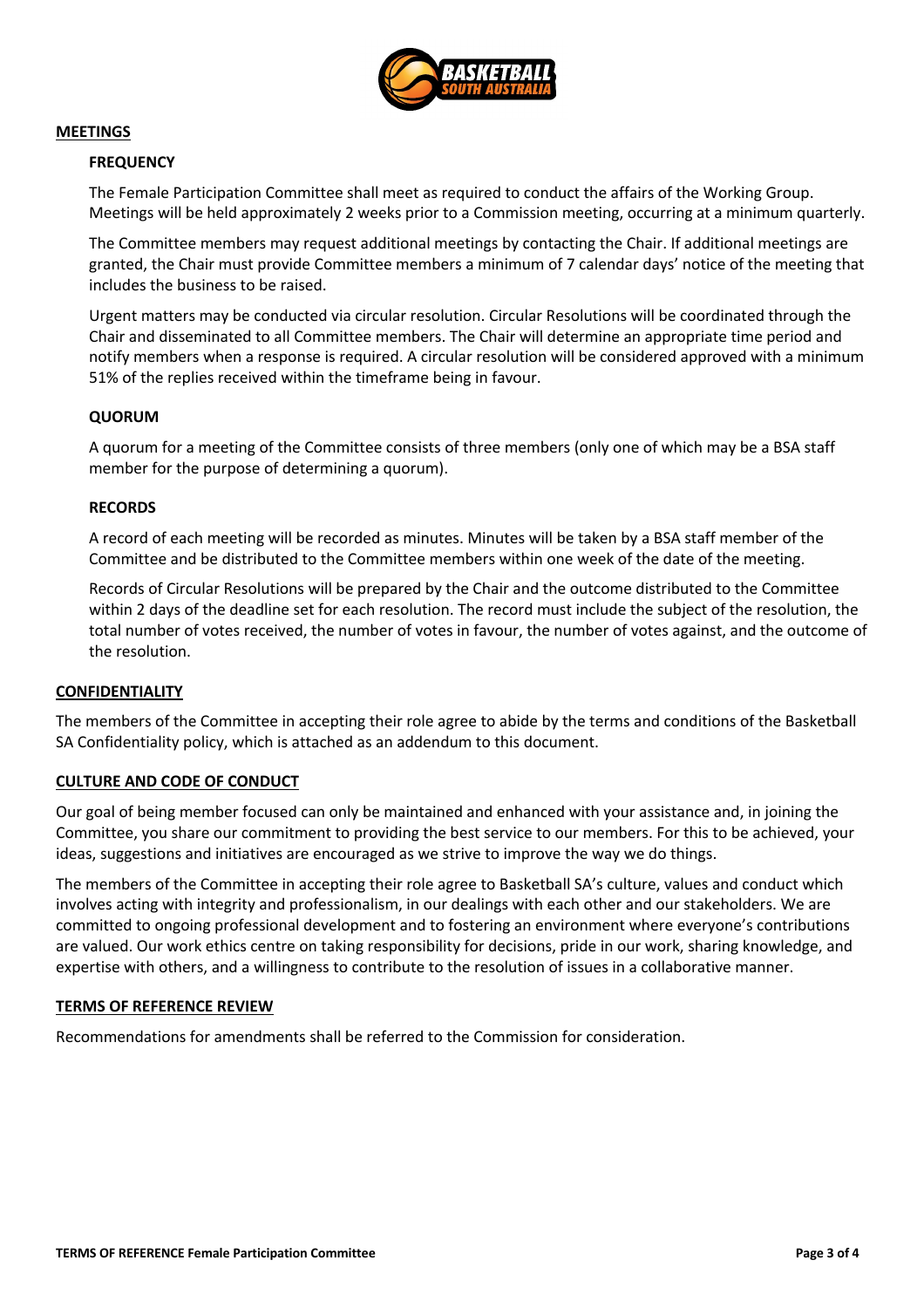

## **MEETINGS**

# **FREQUENCY**

The Female Participation Committee shall meet as required to conduct the affairs of the Working Group. Meetings will be held approximately 2 weeks prior to a Commission meeting, occurring at a minimum quarterly.

The Committee members may request additional meetings by contacting the Chair. If additional meetings are granted, the Chair must provide Committee members a minimum of 7 calendar days' notice of the meeting that includes the business to be raised.

Urgent matters may be conducted via circular resolution. Circular Resolutions will be coordinated through the Chair and disseminated to all Committee members. The Chair will determine an appropriate time period and notify members when a response is required. A circular resolution will be considered approved with a minimum 51% of the replies received within the timeframe being in favour.

## **QUORUM**

A quorum for a meeting of the Committee consists of three members (only one of which may be a BSA staff member for the purpose of determining a quorum).

## **RECORDS**

A record of each meeting will be recorded as minutes. Minutes will be taken by a BSA staff member of the Committee and be distributed to the Committee members within one week of the date of the meeting.

Records of Circular Resolutions will be prepared by the Chair and the outcome distributed to the Committee within 2 days of the deadline set for each resolution. The record must include the subject of the resolution, the total number of votes received, the number of votes in favour, the number of votes against, and the outcome of the resolution.

# **CONFIDENTIALITY**

The members of the Committee in accepting their role agree to abide by the terms and conditions of the Basketball SA Confidentiality policy, which is attached as an addendum to this document.

# **CULTURE AND CODE OF CONDUCT**

Our goal of being member focused can only be maintained and enhanced with your assistance and, in joining the Committee, you share our commitment to providing the best service to our members. For this to be achieved, your ideas, suggestions and initiatives are encouraged as we strive to improve the way we do things.

The members of the Committee in accepting their role agree to Basketball SA's culture, values and conduct which involves acting with integrity and professionalism, in our dealings with each other and our stakeholders. We are committed to ongoing professional development and to fostering an environment where everyone's contributions are valued. Our work ethics centre on taking responsibility for decisions, pride in our work, sharing knowledge, and expertise with others, and a willingness to contribute to the resolution of issues in a collaborative manner.

### **TERMS OF REFERENCE REVIEW**

Recommendations for amendments shall be referred to the Commission for consideration.